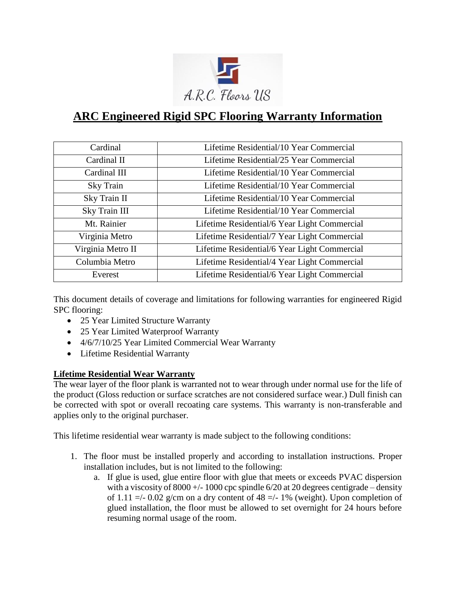

# **ARC Engineered Rigid SPC Flooring Warranty Information**

| Cardinal          | Lifetime Residential/10 Year Commercial      |
|-------------------|----------------------------------------------|
| Cardinal II       | Lifetime Residential/25 Year Commercial      |
| Cardinal III      | Lifetime Residential/10 Year Commercial      |
| Sky Train         | Lifetime Residential/10 Year Commercial      |
| Sky Train II      | Lifetime Residential/10 Year Commercial      |
| Sky Train III     | Lifetime Residential/10 Year Commercial      |
| Mt. Rainier       | Lifetime Residential/6 Year Light Commercial |
| Virginia Metro    | Lifetime Residential/7 Year Light Commercial |
| Virginia Metro II | Lifetime Residential/6 Year Light Commercial |
| Columbia Metro    | Lifetime Residential/4 Year Light Commercial |
| Everest           | Lifetime Residential/6 Year Light Commercial |

This document details of coverage and limitations for following warranties for engineered Rigid SPC flooring:

- 25 Year Limited Structure Warranty
- 25 Year Limited Waterproof Warranty
- 4/6/7/10/25 Year Limited Commercial Wear Warranty
- Lifetime Residential Warranty

#### **Lifetime Residential Wear Warranty**

The wear layer of the floor plank is warranted not to wear through under normal use for the life of the product (Gloss reduction or surface scratches are not considered surface wear.) Dull finish can be corrected with spot or overall recoating care systems. This warranty is non-transferable and applies only to the original purchaser.

This lifetime residential wear warranty is made subject to the following conditions:

- 1. The floor must be installed properly and according to installation instructions. Proper installation includes, but is not limited to the following:
	- a. If glue is used, glue entire floor with glue that meets or exceeds PVAC dispersion with a viscosity of  $8000 +/- 1000$  cpc spindle  $6/20$  at 20 degrees centigrade – density of 1.11 =/- 0.02 g/cm on a dry content of 48 =/- 1% (weight). Upon completion of glued installation, the floor must be allowed to set overnight for 24 hours before resuming normal usage of the room.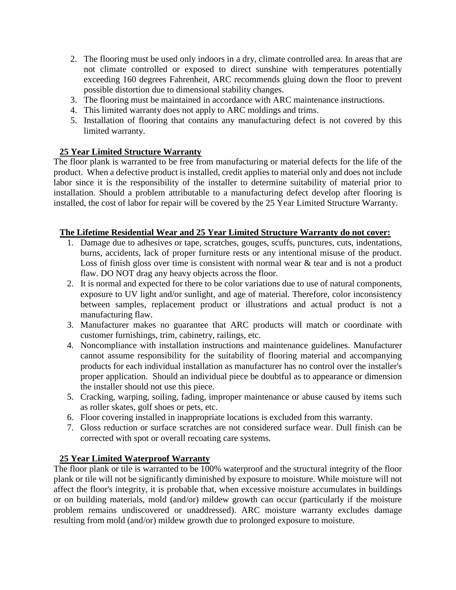- 2. The flooring must be used only indoors in a dry, climate controlled area. In areas that are not climate controlled or exposed to direct sunshine with temperatures potentially exceeding 160 degrees Fahrenheit, ARC recommends gluing down the floor to prevent possible distortion due to dimensional stability changes.
- 3. The flooring must be maintained in accordance with ARC maintenance instructions.
- 4. This limited warranty does not apply to ARC moldings and trims.
- 5. Installation of flooring that contains any manufacturing defect is not covered by this limited warranty.

# **25 Year Limited Structure Warranty**

The floor plank is warranted to be free from manufacturing or material defects for the life of the product. When a defective product is installed, credit applies to material only and does not include labor since it is the responsibility of the installer to determine suitability of material prior to installation. Should a problem attributable to a manufacturing defect develop after flooring is installed, the cost of labor for repair will be covered by the 25 Year Limited Structure Warranty.

#### **The Lifetime Residential Wear and 25 Year Limited Structure Warranty do not cover:**

- 1. Damage due to adhesives or tape, scratches, gouges, scuffs, punctures, cuts, indentations, burns, accidents, lack of proper furniture rests or any intentional misuse of the product. Loss of finish gloss over time is consistent with normal wear & tear and is not a product flaw. DO NOT drag any heavy objects across the floor.
- 2. It is normal and expected for there to be color variations due to use of natural components, exposure to UV light and/or sunlight, and age of material. Therefore, color inconsistency between samples, replacement product or illustrations and actual product is not a manufacturing flaw.
- 3. Manufacturer makes no guarantee that ARC products will match or coordinate with customer furnishings, trim, cabinetry, railings, etc.
- 4. Noncompliance with installation instructions and maintenance guidelines. Manufacturer cannot assume responsibility for the suitability of flooring material and accompanying products for each individual installation as manufacturer has no control over the installer's proper application. Should an individual piece be doubtful as to appearance or dimension the installer should not use this piece.
- 5. Cracking, warping, soiling, fading, improper maintenance or abuse caused by items such as roller skates, golf shoes or pets, etc.
- 6. Floor covering installed in inappropriate locations is excluded from this warranty.
- 7. Gloss reduction or surface scratches are not considered surface wear. Dull finish can be corrected with spot or overall recoating care systems.

#### **25 Year Limited Waterproof Warranty**

The floor plank or tile is warranted to be 100% waterproof and the structural integrity of the floor plank or tile will not be significantly diminished by exposure to moisture. While moisture will not affect the floor's integrity, it is probable that, when excessive moisture accumulates in buildings or on building materials, mold (and/or) mildew growth can occur (particularly if the moisture problem remains undiscovered or unaddressed). ARC moisture warranty excludes damage resulting from mold (and/or) mildew growth due to prolonged exposure to moisture.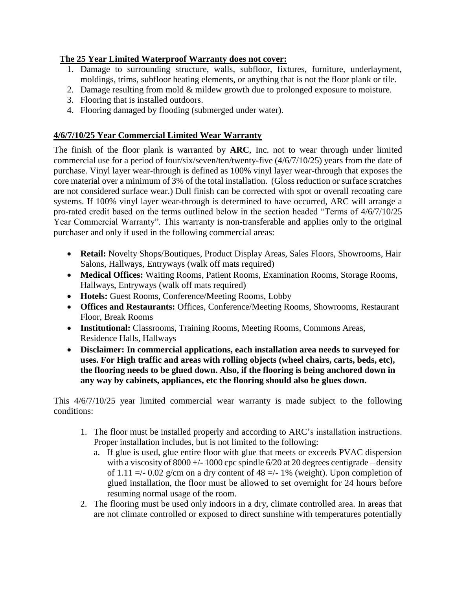# **The 25 Year Limited Waterproof Warranty does not cover:**

- 1. Damage to surrounding structure, walls, subfloor, fixtures, furniture, underlayment, moldings, trims, subfloor heating elements, or anything that is not the floor plank or tile.
- 2. Damage resulting from mold & mildew growth due to prolonged exposure to moisture.
- 3. Flooring that is installed outdoors.
- 4. Flooring damaged by flooding (submerged under water).

# **4/6/7/10/25 Year Commercial Limited Wear Warranty**

The finish of the floor plank is warranted by **ARC**, Inc. not to wear through under limited commercial use for a period of four/six/seven/ten/twenty-five (4/6/7/10/25) years from the date of purchase. Vinyl layer wear-through is defined as 100% vinyl layer wear-through that exposes the core material over a minimum of 3% of the total installation. (Gloss reduction or surface scratches are not considered surface wear.) Dull finish can be corrected with spot or overall recoating care systems. If 100% vinyl layer wear-through is determined to have occurred, ARC will arrange a pro-rated credit based on the terms outlined below in the section headed "Terms of 4/6/7/10/25 Year Commercial Warranty". This warranty is non-transferable and applies only to the original purchaser and only if used in the following commercial areas:

- **Retail:** Novelty Shops/Boutiques, Product Display Areas, Sales Floors, Showrooms, Hair Salons, Hallways, Entryways (walk off mats required)
- **Medical Offices:** Waiting Rooms, Patient Rooms, Examination Rooms, Storage Rooms, Hallways, Entryways (walk off mats required)
- **Hotels:** Guest Rooms, Conference/Meeting Rooms, Lobby
- **Offices and Restaurants:** Offices, Conference/Meeting Rooms, Showrooms, Restaurant Floor, Break Rooms
- **Institutional:** Classrooms, Training Rooms, Meeting Rooms, Commons Areas, Residence Halls, Hallways
- **Disclaimer: In commercial applications, each installation area needs to surveyed for uses. For High traffic and areas with rolling objects (wheel chairs, carts, beds, etc), the flooring needs to be glued down. Also, if the flooring is being anchored down in any way by cabinets, appliances, etc the flooring should also be glues down.**

This 4/6/7/10/25 year limited commercial wear warranty is made subject to the following conditions:

- 1. The floor must be installed properly and according to ARC's installation instructions. Proper installation includes, but is not limited to the following:
	- a. If glue is used, glue entire floor with glue that meets or exceeds PVAC dispersion with a viscosity of  $8000 +/- 1000$  cpc spindle  $6/20$  at 20 degrees centigrade – density of 1.11  $\approx$  -/- 0.02 g/cm on a dry content of 48  $\approx$  -/- 1% (weight). Upon completion of glued installation, the floor must be allowed to set overnight for 24 hours before resuming normal usage of the room.
- 2. The flooring must be used only indoors in a dry, climate controlled area. In areas that are not climate controlled or exposed to direct sunshine with temperatures potentially